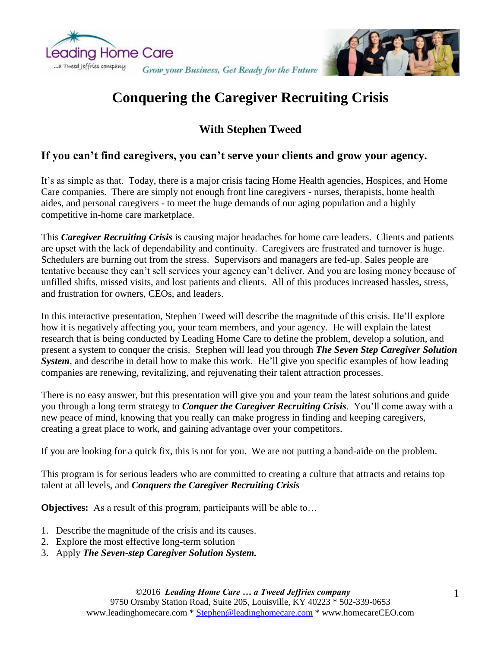



# **Conquering the Caregiver Recruiting Crisis**

# **With Stephen Tweed**

## **If you can't find caregivers, you can't serve your clients and grow your agency.**

It's as simple as that. Today, there is a major crisis facing Home Health agencies, Hospices, and Home Care companies. There are simply not enough front line caregivers - nurses, therapists, home health aides, and personal caregivers - to meet the huge demands of our aging population and a highly competitive in-home care marketplace.

This *Caregiver Recruiting Crisis* is causing major headaches for home care leaders. Clients and patients are upset with the lack of dependability and continuity. Caregivers are frustrated and turnover is huge. Schedulers are burning out from the stress. Supervisors and managers are fed-up. Sales people are tentative because they can't sell services your agency can't deliver. And you are losing money because of unfilled shifts, missed visits, and lost patients and clients. All of this produces increased hassles, stress, and frustration for owners, CEOs, and leaders.

In this interactive presentation, Stephen Tweed will describe the magnitude of this crisis. He'll explore how it is negatively affecting you, your team members, and your agency. He will explain the latest research that is being conducted by Leading Home Care to define the problem, develop a solution, and present a system to conquer the crisis. Stephen will lead you through *The Seven Step Caregiver Solution*  **System**, and describe in detail how to make this work. He'll give you specific examples of how leading companies are renewing, revitalizing, and rejuvenating their talent attraction processes.

There is no easy answer, but this presentation will give you and your team the latest solutions and guide you through a long term strategy to *Conquer the Caregiver Recruiting Crisis*. You'll come away with a new peace of mind, knowing that you really can make progress in finding and keeping caregivers, creating a great place to work, and gaining advantage over your competitors.

If you are looking for a quick fix, this is not for you. We are not putting a band-aide on the problem.

This program is for serious leaders who are committed to creating a culture that attracts and retains top talent at all levels, and *Conquers the Caregiver Recruiting Crisis*

**Objectives:** As a result of this program, participants will be able to…

- 1. Describe the magnitude of the crisis and its causes.
- 2. Explore the most effective long-term solution
- 3. Apply *The Seven-step Caregiver Solution System.*